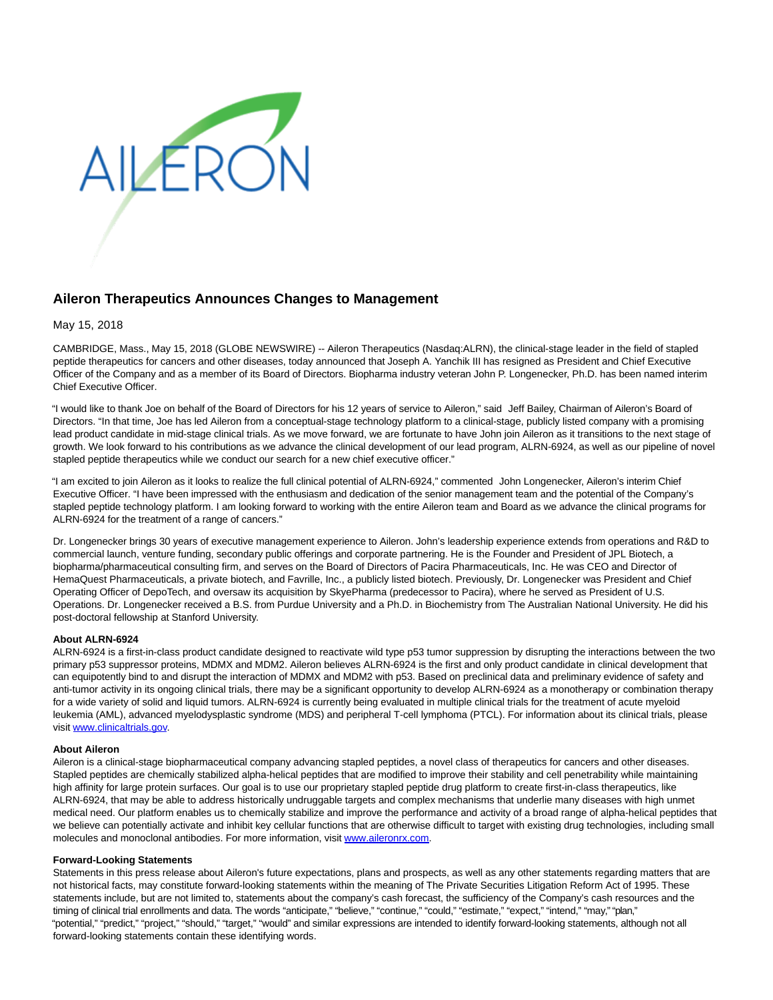

# **Aileron Therapeutics Announces Changes to Management**

May 15, 2018

CAMBRIDGE, Mass., May 15, 2018 (GLOBE NEWSWIRE) -- Aileron Therapeutics (Nasdaq:ALRN), the clinical-stage leader in the field of stapled peptide therapeutics for cancers and other diseases, today announced that Joseph A. Yanchik III has resigned as President and Chief Executive Officer of the Company and as a member of its Board of Directors. Biopharma industry veteran John P. Longenecker, Ph.D. has been named interim Chief Executive Officer.

"I would like to thank Joe on behalf of the Board of Directors for his 12 years of service to Aileron," said Jeff Bailey, Chairman of Aileron's Board of Directors. "In that time, Joe has led Aileron from a conceptual-stage technology platform to a clinical-stage, publicly listed company with a promising lead product candidate in mid-stage clinical trials. As we move forward, we are fortunate to have John join Aileron as it transitions to the next stage of growth. We look forward to his contributions as we advance the clinical development of our lead program, ALRN-6924, as well as our pipeline of novel stapled peptide therapeutics while we conduct our search for a new chief executive officer."

"I am excited to join Aileron as it looks to realize the full clinical potential of ALRN-6924," commented John Longenecker, Aileron's interim Chief Executive Officer. "I have been impressed with the enthusiasm and dedication of the senior management team and the potential of the Company's stapled peptide technology platform. I am looking forward to working with the entire Aileron team and Board as we advance the clinical programs for ALRN-6924 for the treatment of a range of cancers."

Dr. Longenecker brings 30 years of executive management experience to Aileron. John's leadership experience extends from operations and R&D to commercial launch, venture funding, secondary public offerings and corporate partnering. He is the Founder and President of JPL Biotech, a biopharma/pharmaceutical consulting firm, and serves on the Board of Directors of Pacira Pharmaceuticals, Inc. He was CEO and Director of HemaQuest Pharmaceuticals, a private biotech, and Favrille, Inc., a publicly listed biotech. Previously, Dr. Longenecker was President and Chief Operating Officer of DepoTech, and oversaw its acquisition by SkyePharma (predecessor to Pacira), where he served as President of U.S. Operations. Dr. Longenecker received a B.S. from Purdue University and a Ph.D. in Biochemistry from The Australian National University. He did his post-doctoral fellowship at Stanford University.

## **About ALRN-6924**

ALRN-6924 is a first-in-class product candidate designed to reactivate wild type p53 tumor suppression by disrupting the interactions between the two primary p53 suppressor proteins, MDMX and MDM2. Aileron believes ALRN-6924 is the first and only product candidate in clinical development that can equipotently bind to and disrupt the interaction of MDMX and MDM2 with p53. Based on preclinical data and preliminary evidence of safety and anti-tumor activity in its ongoing clinical trials, there may be a significant opportunity to develop ALRN-6924 as a monotherapy or combination therapy for a wide variety of solid and liquid tumors. ALRN-6924 is currently being evaluated in multiple clinical trials for the treatment of acute myeloid leukemia (AML), advanced myelodysplastic syndrome (MDS) and peripheral T-cell lymphoma (PTCL). For information about its clinical trials, please visit [www.clinicaltrials.gov.](https://www.globenewswire.com/Tracker?data=ujSccNDTAC2oebfjxaILoCS0-Ci58a2m8meQYSYZx4wwcosP5mA0qbzLzq0QlaNbH3xJBl1vQyrCtXAX3NTyxCLHYkS00YRczgTBIQNg6zCFucjHHmboAleLvYigFOml90mye7tGl9mFuhBAKsJ0oju_c580o_jYFC9-ilE9vF4G1FwGocTqabPg_8TV3ZN2rf0saKxocajztFdkb3m42ba3_osv7IDbmms5jqkuBobaTEQQztYTugxACdh8TphYdPxOZGVGvO7iFcvVTBVEERGy0JPJ3DYXSa3zJE--H9z_kp-2_x5AHG-99OboZw48XOkPImxPNlEjapUIYv0p5c0EbyTUiAgvvy8AG9uv8z0=)

### **About Aileron**

Aileron is a clinical-stage biopharmaceutical company advancing stapled peptides, a novel class of therapeutics for cancers and other diseases. Stapled peptides are chemically stabilized alpha-helical peptides that are modified to improve their stability and cell penetrability while maintaining high affinity for large protein surfaces. Our goal is to use our proprietary stapled peptide drug platform to create first-in-class therapeutics, like ALRN-6924, that may be able to address historically undruggable targets and complex mechanisms that underlie many diseases with high unmet medical need. Our platform enables us to chemically stabilize and improve the performance and activity of a broad range of alpha-helical peptides that we believe can potentially activate and inhibit key cellular functions that are otherwise difficult to target with existing drug technologies, including small molecules and monoclonal antibodies. For more information, visit [www.aileronrx.com.](https://www.globenewswire.com/Tracker?data=C58uNEvLwnAGgd7FtXOkMb5i43vE5ChWIA7ykjePtPtLiCACXeWs-nFlYmQb_M1gG1x44L8T2gmmbh3T-phxPA==)

### **Forward-Looking Statements**

Statements in this press release about Aileron's future expectations, plans and prospects, as well as any other statements regarding matters that are not historical facts, may constitute forward-looking statements within the meaning of The Private Securities Litigation Reform Act of 1995. These statements include, but are not limited to, statements about the company's cash forecast, the sufficiency of the Company's cash resources and the timing of clinical trial enrollments and data. The words "anticipate," "believe," "continue," "could," "estimate," "expect," "intend," "may," "plan," "potential," "predict," "project," "should," "target," "would" and similar expressions are intended to identify forward-looking statements, although not all forward-looking statements contain these identifying words.